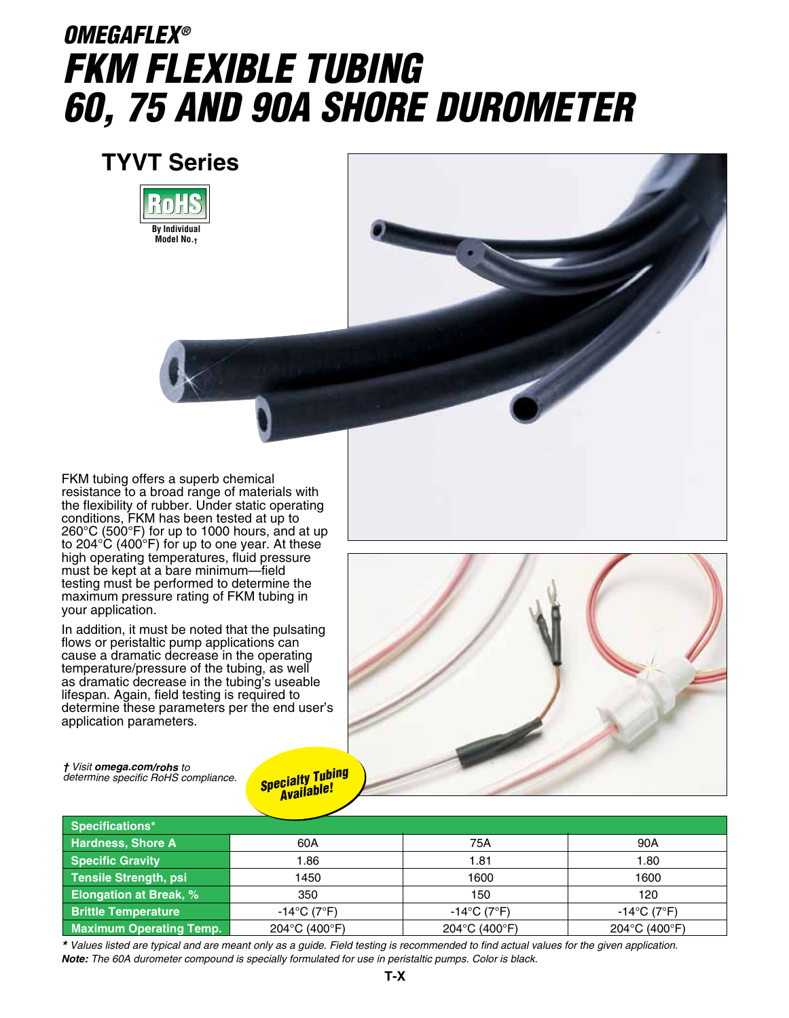# *OMEGAFLEX® FKM Flexible Tubing 60, 75 and 90A Shore Durometer*

### **TYVT Series**





FKM tubing offers a superb chemical resistance to a broad range of materials with the flexibility of rubber. Under static operating conditions, FKM has been tested at up to 260°C (500°F) for up to 1000 hours, and at up to 204°C (400°F) for up to one year. At these high operating temperatures, fluid pressure must be kept at a bare minimum—field testing must be performed to determine the maximum pressure rating of FKM tubing in your application.

In addition, it must be noted that the pulsating flows or peristaltic pump applications can cause a dramatic decrease in the operating temperature/pressure of the tubing, as well as dramatic decrease in the tubing's useable lifespan. Again, field testing is required to determine these parameters per the end user's application parameters.



*† Visit omega.com/rohs to determine specific RoHS compliance.*

#### *Specialty Tubing Available!*

| Specifications*                |                                  |                                  |                                  |
|--------------------------------|----------------------------------|----------------------------------|----------------------------------|
| Hardness, Shore A              | 60A                              | 75A                              | 90A                              |
| Specific Gravity               | 1.86                             | 1.81                             | 1.80                             |
| Tensile Strength, psi          | 1450                             | 1600                             | 1600                             |
| <b>Elongation at Break, %</b>  | 350                              | 150                              | 120                              |
| <b>Brittle Temperature</b>     | $-14^{\circ}$ C (7 $^{\circ}$ F) | $-14^{\circ}$ C (7 $^{\circ}$ F) | $-14^{\circ}$ C (7 $^{\circ}$ F) |
| <b>Maximum Operating Temp.</b> | 204°C (400°F)                    | 204°C (400°F)                    | 204°C (400°F)                    |

*\* Values listed are typical and are meant only as a guide. Field testing is recommended to find actual values for the given application. Note: The 60A durometer compound is specially formulated for use in peristaltic pumps. Color is black.*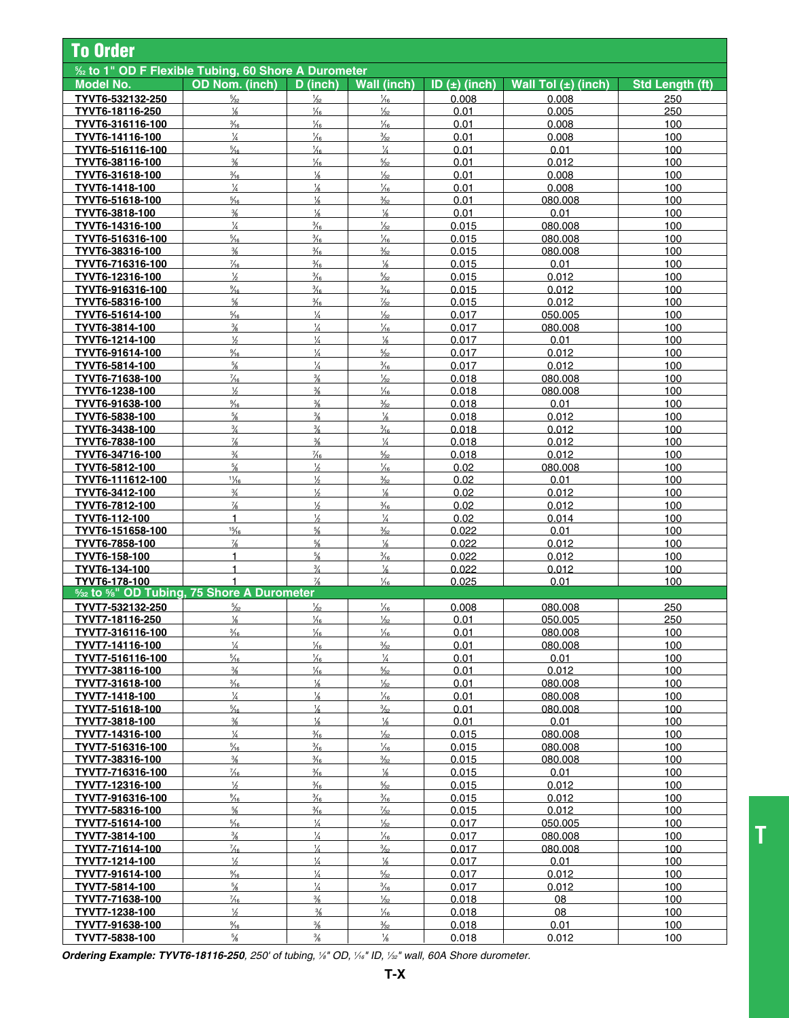| <b>To Order</b>                                              |                                 |                                |                                 |                |                         |                        |  |  |
|--------------------------------------------------------------|---------------------------------|--------------------------------|---------------------------------|----------------|-------------------------|------------------------|--|--|
| <b>1/22 to 1" OD F Flexible Tubing, 60 Shore A Durometer</b> |                                 |                                |                                 |                |                         |                        |  |  |
| <b>Model No.</b>                                             | <b>OD Nom. (inch)</b>           | D (inch)                       | <b>Wall (inch)</b>              | ID (±) (inch)  | Wall Tol $(\pm)$ (inch) | <b>Std Length (ft)</b> |  |  |
| TYVT6-532132-250                                             | $\frac{5}{32}$                  | $\frac{1}{32}$                 | $\frac{1}{6}$                   | 0.008          | 0.008                   | 250                    |  |  |
| TYVT6-18116-250                                              | $\frac{1}{8}$                   | $\frac{1}{6}$                  | $\frac{1}{32}$                  | 0.01           | 0.005                   | 250                    |  |  |
| TYVT6-316116-100                                             | $\frac{3}{16}$                  | $\frac{1}{6}$                  | $\frac{1}{16}$                  | 0.01           | 0.008                   | 100                    |  |  |
| TYVT6-14116-100                                              | $\frac{1}{4}$                   | $\frac{1}{16}$                 | $\frac{3}{32}$                  | 0.01           | 0.008                   | 100                    |  |  |
| TYVT6-516116-100                                             | $\frac{5}{16}$                  | $\frac{1}{16}$                 | $\frac{1}{4}$                   | 0.01           | 0.01                    | 100                    |  |  |
| TYVT6-38116-100                                              | $\frac{3}{8}$                   | $\frac{1}{16}$                 | $\frac{5}{32}$                  | 0.01           | 0.012                   | 100                    |  |  |
| TYVT6-31618-100                                              | $\frac{3}{16}$                  | $\frac{1}{8}$                  | $\frac{1}{32}$                  | 0.01           | 0.008                   | 100                    |  |  |
| TYVT6-1418-100                                               | $\frac{1}{4}$                   | $\frac{1}{8}$                  | $\frac{1}{16}$                  | 0.01           | 0.008                   | 100                    |  |  |
| TYVT6-51618-100                                              | $\frac{5}{16}$                  | $\frac{1}{8}$                  | $\frac{3}{32}$                  | 0.01           | 080.008                 | 100                    |  |  |
| TYVT6-3818-100                                               | $\frac{3}{8}$                   | $\frac{1}{8}$                  | $\frac{1}{8}$                   | 0.01           | 0.01                    | 100                    |  |  |
| TYVT6-14316-100                                              | $\frac{1}{4}$                   | $\frac{3}{16}$                 | $\frac{1}{32}$                  | 0.015          | 080.008                 | 100                    |  |  |
| TYVT6-516316-100                                             | $\frac{5}{16}$                  | $\frac{3}{16}$                 | $\frac{1}{16}$                  | 0.015          | 080.008                 | 100                    |  |  |
| TYVT6-38316-100                                              | $\frac{3}{8}$                   | $\frac{3}{16}$                 | $\frac{3}{32}$                  | 0.015          | 080.008                 | 100                    |  |  |
| TYVT6-716316-100                                             | $\frac{7}{16}$                  | $\frac{3}{16}$                 | $\frac{1}{8}$                   | 0.015          | 0.01                    | 100                    |  |  |
| TYVT6-12316-100                                              | $\frac{1}{2}$                   | $\frac{3}{16}$                 | $\frac{5}{32}$                  | 0.015          | 0.012                   | 100                    |  |  |
| TYVT6-916316-100                                             | $\frac{9}{16}$                  | $\frac{3}{16}$                 | $\frac{3}{16}$                  | 0.015          | 0.012                   | 100                    |  |  |
| TYVT6-58316-100                                              | $\frac{5}{8}$                   | $\frac{3}{16}$                 | $\frac{7}{32}$                  | 0.015          | 0.012                   | 100                    |  |  |
| TYVT6-51614-100                                              | $\frac{5}{16}$                  | $\frac{1}{4}$                  | $\frac{1}{32}$                  | 0.017          | 050.005                 | 100                    |  |  |
| TYVT6-3814-100                                               | $\frac{3}{8}$                   | $\frac{1}{4}$                  | $\frac{1}{16}$                  | 0.017          | 080.008                 | 100                    |  |  |
| TYVT6-1214-100                                               | $\frac{1}{2}$<br>$\frac{9}{16}$ | $\frac{1}{4}$<br>$\frac{1}{4}$ | $\frac{1}{8}$<br>$\frac{5}{32}$ | 0.017          | 0.01<br>0.012           | 100                    |  |  |
| TYVT6-91614-100                                              | $\frac{5}{8}$                   | $\frac{1}{4}$                  | $\frac{3}{16}$                  | 0.017          |                         | 100                    |  |  |
| TYVT6-5814-100                                               | $\frac{7}{16}$                  | $\frac{3}{8}$                  | $\frac{1}{32}$                  | 0.017<br>0.018 | 0.012<br>080.008        | 100<br>100             |  |  |
| TYVT6-71638-100<br>TYVT6-1238-100                            | $\frac{1}{2}$                   | $\frac{3}{8}$                  | $\frac{1}{6}$                   | 0.018          | 080.008                 | 100                    |  |  |
| TYVT6-91638-100                                              | $\frac{9}{16}$                  | $\frac{3}{8}$                  | $\frac{3}{32}$                  | 0.018          | 0.01                    | 100                    |  |  |
| TYVT6-5838-100                                               | $\frac{5}{8}$                   | $\frac{3}{8}$                  | $\frac{1}{8}$                   | 0.018          | 0.012                   | 100                    |  |  |
| TYVT6-3438-100                                               | $\frac{3}{4}$                   | $\frac{3}{8}$                  | $\frac{3}{16}$                  | 0.018          | 0.012                   | 100                    |  |  |
| TYVT6-7838-100                                               | $\frac{7}{8}$                   | $\frac{3}{8}$                  | $\frac{1}{4}$                   | 0.018          | 0.012                   | 100                    |  |  |
| TYVT6-34716-100                                              | $\frac{3}{4}$                   | $\frac{7}{16}$                 | $\frac{5}{32}$                  | 0.018          | 0.012                   | 100                    |  |  |
| TYVT6-5812-100                                               | $\frac{5}{8}$                   | $\frac{1}{2}$                  | $\frac{1}{16}$                  | 0.02           | 080.008                 | 100                    |  |  |
| TYVT6-111612-100                                             | $\frac{11}{16}$                 | $\frac{1}{2}$                  | $\frac{3}{32}$                  | 0.02           | 0.01                    | 100                    |  |  |
| TYVT6-3412-100                                               | $\frac{3}{4}$                   | $\frac{1}{2}$                  | $\frac{1}{8}$                   | 0.02           | 0.012                   | 100                    |  |  |
| TYVT6-7812-100                                               | $\frac{7}{8}$                   | $\frac{1}{2}$                  | $\frac{3}{16}$                  | 0.02           | 0.012                   | 100                    |  |  |
| TYVT6-112-100                                                | $\mathbf{1}$                    | $\frac{1}{2}$                  | $\frac{1}{4}$                   | 0.02           | 0.014                   | 100                    |  |  |
| TYVT6-151658-100                                             | 15/16                           | $\frac{5}{8}$                  | $\frac{3}{32}$                  | 0.022          | 0.01                    | 100                    |  |  |
| TYVT6-7858-100                                               | $\frac{7}{8}$                   | $\frac{5}{8}$                  | $\frac{1}{8}$                   | 0.022          | 0.012                   | 100                    |  |  |
| TYVT6-158-100                                                | 1                               | $\frac{5}{8}$                  | $\frac{3}{16}$                  | 0.022          | 0.012                   | 100                    |  |  |
| TYVT6-134-100                                                | $\mathbf{1}$                    | $\frac{3}{4}$                  | $\frac{1}{8}$                   | 0.022          | 0.012                   | 100                    |  |  |
| TYVT6-178-100                                                | 1                               | $\frac{7}{8}$                  | $\frac{1}{6}$                   | 0.025          | 0.01                    | 100                    |  |  |
| 5/32 to 5/8" OD Tubing, 75 Shore A Durometer                 |                                 |                                |                                 |                |                         |                        |  |  |
| TYVT7-532132-250                                             | $\frac{5}{32}$                  | $\frac{1}{32}$                 | $\frac{1}{16}$                  | 0.008          | 080.008                 | 250                    |  |  |
| TYVT7-18116-250                                              | $\frac{1}{6}$                   | $\frac{1}{4}$                  | $\frac{1}{2}$                   | 0.01           | 050.005                 | 250                    |  |  |
| <u>TYVT7-316116-100</u>                                      | $\frac{3}{16}$                  | $\frac{1}{6}$                  | $\frac{1}{6}$                   | 0.01           | 080.008                 | 100                    |  |  |
| TYVT7-14116-100                                              | $\frac{1}{4}$                   | $\frac{1}{16}$                 | $\frac{3}{32}$                  | 0.01           | 080.008                 | 100                    |  |  |
| TYVT7-516116-100                                             | $\frac{5}{16}$                  | $\frac{1}{16}$                 | $\frac{1}{4}$                   | 0.01           | 0.01                    | 100                    |  |  |
| TYVT7-38116-100                                              | $\frac{3}{8}$                   | $\frac{1}{16}$                 | $\frac{5}{32}$                  | 0.01           | 0.012                   | 100                    |  |  |
| TYVT7-31618-100                                              | $\frac{3}{16}$                  | $\frac{1}{8}$                  | $\frac{1}{32}$                  | 0.01           | 080.008                 | 100                    |  |  |
| TYVT7-1418-100                                               | $\frac{1}{4}$                   | $\frac{1}{8}$                  | $\frac{1}{16}$                  | 0.01           | 080.008                 | 100                    |  |  |
| TYVT7-51618-100                                              | $\frac{5}{16}$<br>$\frac{3}{8}$ | $\frac{1}{8}$<br>$\frac{1}{8}$ | $\frac{3}{32}$<br>$\frac{1}{8}$ | 0.01<br>0.01   | 080.008                 | 100                    |  |  |
| TYVT7-3818-100                                               | $\frac{1}{4}$                   | $\frac{3}{16}$                 | $\frac{1}{32}$                  | 0.015          | 0.01                    | 100                    |  |  |
| <u>TYVT7-14316-100</u><br>TYVT7-516316-100                   | $\frac{5}{16}$                  | $\frac{3}{16}$                 | $\frac{1}{6}$                   | 0.015          | 080.008<br>080.008      | 100<br>100             |  |  |
| TYVT7-38316-100                                              | $\frac{3}{8}$                   | $\frac{3}{16}$                 | $\frac{3}{32}$                  | 0.015          | 080.008                 | 100                    |  |  |
| TYVT7-716316-100                                             | $\frac{7}{16}$                  | $\frac{3}{16}$                 | $\frac{1}{8}$                   | 0.015          | 0.01                    | 100                    |  |  |
| TYVT7-12316-100                                              | $\frac{1}{2}$                   | $\frac{3}{16}$                 | $\frac{5}{32}$                  | 0.015          | 0.012                   | 100                    |  |  |
| TYVT7-916316-100                                             | $\frac{9}{16}$                  | $\frac{3}{16}$                 | $\frac{3}{16}$                  | 0.015          | 0.012                   | 100                    |  |  |
| <u>TYVT7-58316-100</u>                                       | $\frac{5}{8}$                   | $\frac{3}{16}$                 | $\frac{7}{32}$                  | 0.015          | 0.012                   | 100                    |  |  |
| TYVT7-51614-100                                              | $\frac{5}{16}$                  | $\frac{1}{4}$                  | $\frac{1}{32}$                  | 0.017          | 050.005                 | 100                    |  |  |
| TYVT7-3814-100                                               | $\frac{3}{8}$                   | $\frac{1}{4}$                  | $\frac{1}{6}$                   | 0.017          | 080.008                 | 100                    |  |  |
| TYVT7-71614-100                                              | $\frac{7}{16}$                  | $\frac{1}{4}$                  | $\frac{3}{32}$                  | 0.017          | 080.008                 | 100                    |  |  |
| TYVT7-1214-100                                               | $\frac{1}{2}$                   | $\frac{1}{4}$                  | $\frac{1}{8}$                   | 0.017          | 0.01                    | 100                    |  |  |
| TYVT7-91614-100                                              | $\frac{9}{16}$                  | $\frac{1}{4}$                  | $\frac{5}{32}$                  | 0.017          | 0.012                   | 100                    |  |  |
| TYVT7-5814-100                                               | $\frac{5}{8}$                   | $\frac{1}{4}$                  | $\frac{3}{16}$                  | 0.017          | 0.012                   | 100                    |  |  |
| TYVT7-71638-100                                              | $\frac{7}{16}$                  | $\frac{3}{8}$                  | $\frac{1}{32}$                  | 0.018          | 08                      | 100                    |  |  |
| TYVT7-1238-100                                               | $\frac{1}{2}$                   | $\frac{3}{8}$                  | $\frac{1}{16}$                  | 0.018          | 08                      | 100                    |  |  |
| TYVT7-91638-100                                              | $\frac{9}{16}$                  | $\frac{3}{8}$                  | $\frac{3}{32}$                  | 0.018          | 0.01                    | 100                    |  |  |
| TYVT7-5838-100                                               | $\frac{5}{8}$                   | $\frac{3}{8}$                  | $\frac{1}{8}$                   | 0.018          | 0.012                   | 100                    |  |  |

*Ordering Example: TYVT6-18116-250, 250' of tubing, 1 ⁄8" OD, 1 ⁄16" ID, 1 ⁄32" wall, 60A Shore durometer.*

**T**